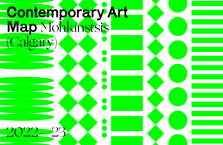# Contemporary Art Map Mohkínstsis (Calgary) 2022—23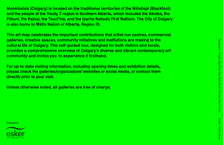Mohkínstsis (Calgary) is located on the traditional territories of the Niitsitapi (Blackfoot) and the people of the Treaty 7 region in Southern Alberta, which includes the Siksika, the Piikuni, the Kainai, the Tsuut'ina, and the Iyarhe Nakoda First Nations. The City of Calgary is also home to Métis Nation of Alberta, Region III.

This art map celebrates the important contributions that artist-run centres, commercial galleries, creative spaces, community initiatives and institutions are making to the cultural life of Calgary. This self-guided tour, designed for both visitors and locals, provides a comprehensive overview of Calgary's diverse and vibrant contemporary art community and invites you to experience it firsthand.

For up-to-date visiting information, including opening times and exhibition details, please check the galleries/organizations' websites or social media, or contact them directly prior to your visit.

Unless otherwise noted, all galleries are free of charge.

Produced by

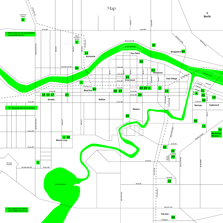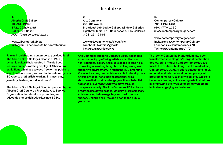1. Alberta Craft Gallery cSPACE, #280 1721 29th Ave. SW (587) 391-0129 ACCYYC@albertacraft.ab.ca

—

www.albertacraft.ab.ca Instagram/Facebook: @albertacraftcouncil

Join us in celebrating contemporary craft culture! The Alberta Craft Gallery & Shop in cSPACE, a dynamic cultural hub located in Marda Loop, features an ever-rotating display of Alberta craft exhibitions which are always free for the public to visit. Inside our shop, you will find creations by over 80 Alberta craft artists working in glass, clay, jewellery, textiles, wood, and more!

The Alberta Craft Gallery & Shop is operated by the Alberta Craft Council, a Provincial Arts Service Organization that develops, promotes, and advocates for craft in Alberta since 1980.

## Institutions

2. Arts Commons 205 8th Ave. SE Broadcast Lab, Ledge Gallery, Window Galleries, Lightbox Studio, +15 Soundscape, +15 Galleries (403) 294-9494 —

www.artscommons.ca/VisualArts Facebook/Twitter: @yycarts Instagram: @artistsofyyc

Arts Commons supports Calgary's visual and media arts community by offering artists and collectives non-traditional gallery and studio space to take risks in creating innovative, thought-provoking work, in a supportive environment. Through the RBC Emerging Visual Artists program, artists are able to develop their artistic practice, hone their professional skills, showcase their work, and engage with a substantial audience of over 600,000 who move through our space annually. The Arts Commons TD Incubator program also develops local Calgary interdisciplinary artists moving between gallery and performance spaces. Galleries are free and open to the public year-round.

3. Contemporary Calgary 701 11th St. SW (403) 770-1350 info@contemporarycalgary.com

—

www.contemporarycalgary.com Instagram: @ContemporaryCalgary Facebook: @Contemporary.YYC Twitter: @ContemporaryYYC

The iconic Centennial Planetarium has been transformed into Calgary's largest destination dedicated to modern and contemporary art. Inside the brutalist building, itself a work of art, Contemporary Calgary offers outstanding local, national, and international contemporary art programming. Core to their vision, they aspire to become a leading voice among arts institutions by embracing their values of being welcoming, inclusive, engaging and relevant.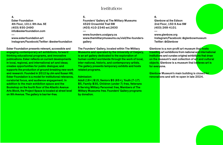## Institutions

4. Esker Foundation 4th Floor, 1011 9th Ave. SE (403) 930-2490 info@eskerfoundation.com

—

www.eskerfoundation.art Instagram/Facebook/Twitter: @eskerfoundation

#### Esker Foundation presents relevant, accessible and

engaging contemporary art exhibitions, forward thinking educational programs, and innovative publications. Esker reflects on current developments in local, regional, and international art and ideas; creates opportunities for public dialogue; and supports the production of ground-breaking new work and research. Founded in 2012 by Jim and Susan Hill, Esker Foundation is a model for institutional relevance, curatorial focus, and audience engagement. In addition to the main exhibition space and the Bookshop on the fourth floor of the Atlantic Avenue Arts Block, the Project Space is located at street level on 9th Avenue. The gallery is barrier-free.

#### 5.

—

Founders' Gallery at The Military Museums 4520 Crowchild Trail SW (403) 410-2340 ext.2630

www.founders.ucalgary.ca www.themilitarymuseums.ca/visit/the-foundersgallery

The Founders' Gallery, located within The Military

Museums and operated by the University of Calgary, is an art gallery dedicated to the exploration of human conflict worldwide through the work of local, inter-national, historic, and contemporary artists. The gallery presents temporary exhibits and hosts related programs.

#### Admission:

Adult (18+) \$15, Seniors \$5 (65+), Youth (7-17) \$5, Family \$30, Children (under 7) free, Veterans & Serving Military Personnel: free, Members of The Military Museums: free. Founders' Gallery programs by donation.

6. Glenbow at the Edison 2nd Floor, 150 9 Ave SW (403) 268-4101

—

www.glenbow.org Instagram/Facebook: @glenbowmuseum Twitter: @Glenbow

Glenbow is a non-profit art museum that hosts travelling art exhibitions from national and international institutions and curates original exhibitions that draw on the museum's vast collection of art and cultural objects. Glenbow is a museum that believes art is for everyone.

Glenbow Museum's main building is closed for renovations and will re-open in late 2024.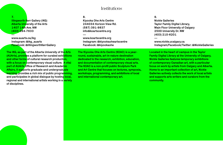#### 7. Illingworth Kerr Gallery (IKG) Alberta University of the Arts 1407 14th Ave. NW (403) 284-7633

—

www.auarts.ca/ikg Instagram: @ikg\_auarts Facebook: @IllingworthKerrGallery

The IKG, as part of the Alberta University of the Arts (AUArts), provides a platform for curated exhibitions and other forms of cultural research production, with a focus on contemporary visual culture. A vital part of AUArts Office of Research and Academic Affairs, it supports graduate and undergraduate learning, provides a rich mix of public progra<mark>mming,</mark> and participates in global dialogue by hosting local, regional and international artists working in a variety of disciplines.

# Institutions

8. Kiyooka Ohe Arts Centre 244034 Horizon View Rd. (587) 391-9837 info@koartscentre.org

—

www.koartscentre.org Instagram: @kiyookaoheartscentre Facebook: @kiyookaohe

The Kiyooka Ohe Arts Centre (KOAC) is a yearround, sustainable, art-in-nature destination dedicated to the research, exhibition, education, and documentation of contemporary visual arts. The KOAC is a non-profit public Sculpture Park and Art Centre that focuses on lectures, symposia, workshops, programming, and exhibitions of local and international contemporary art.

9. Nickle Galleries Taylor Family Digital Library, Main Floor University of Calgary 2500 University Dr. NW (403) 210-6201

—

www.nickle.ucalgary.ca Instagram/Facebook/Twitter: @NickleGalleries

Located in the heart of campus in the Taylor Family Digital Library at the University of Calgary, Nickle Galleries features temporary exhibitions of contemporary Canadian art, with a particular focus on work by artists from Calgary and Alberta. Home to an important collection of art, Nickle Galleries actively collects the work of local artists and supports arts writers and curators from the community.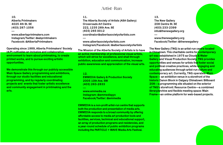## Artist-Run

10. Alberta Printmakers 4025 4th St. SE (403) 287-1056

—

www.albertaprintmakers.com Instagram/Twitter: @abprintmakers Facebook: @AlbertaPrintmakers

#### Operating since 1989, Alberta Printmakers' Society (A/P) cultivates an inclusive and collaborative

environment to learn about printmaking, to create printed works, and to pursue exciting artistic opportunities.

We demonstrate this through our publicly accessible Main Space Gallery programming and exhibitions, through our studio facilities and educational programming, and by regularly coordinating projects and events that foster artistic excellence and community engagement in printmaking and the arts.

#### 11.

The Alberta Society of Artists (ASA Gallery) Crossroads Art Centre 222, 1235 26th Ave. SE (403) 265 0012 coordinator@albertasocietyofartists.com —

www.albertasocietyofartists.com Instagram/Facebook: @albertasocietyofartists

The Mission of the Alberta Society of Artists is to have an active membership of professional visual artists, which will strive for excellence, and shall through exhibition, education and communication, increase public awareness and appreciation of the visual arts.

12.

—

EMMEDIA Gallery & Production Society 2005 10th Ave. SW (403) 263-2833

www.emmedia.ca Instagram: @emmediayyc Facebook/Twitter: @emmedia

EMMEDIA is a non-profit artist-run centre that supports both the production and presentation of media arts. EMMEDIA responds to a broad community by offering affordable access to media art production tools and facilities, services, technical and educational support, an array of production programs and residencies, and a year-round schedule of public exhibition programs including the PARTICLE + WAVE Media Arts Festival.

13. The New Gallery 208 Centre St. SE (403) 233-2399 info@thenewgallery.org

—

www.thenewgallery.org Facebook/Twitter: @thenewgallery

The New Gallery (TNG) is an artist-run centre located in Chinatown. This charitable centre for **contemporary** art was established in 1975 as Clouds & Water **Gallery and Visual Production Society. TNG provides** opportunities and venues for artists that foster social and political creative practices, while engaging and educating audiences through artist-run culture and contemporary art. Currently, TNG operates: Main Space— an exhibition venue in a storefront of the historic Canon Block in Calgary Chinatown: Billboard 208—a programming site situated on the exterior of TNG's storefront: Resource Centre—a combined library/archive and flexible meeting space: Main Frame—an online platform for web-based projects.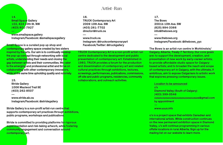14. Small Space Gallery 102, 424 10th St. NW (403) 801-7927

—

—

www.smallspace.gallery Instagram/Facebook: @smallspacegallery

**Small Space is a curated pop up shop and** contemporary gallery space created by two sisters inspired by the arts. Our aim is to continually develop the pop-up concept through networking with local artists, understanding their needs and closing the gap between artists and their communities. We cater to the emerging and professional artist and thrive on collaborating with other contemporary innovators, while at the same time upholding quality and notoriety.

15. Stride Gallery 1006 Macleod Trail SE (403) 262-8507

www.stride.ab.ca Instagram/Facebook: @stridegallery

Stride Gallery is a non-profit artist-run centre that supports contemporary art practices through exhibitions. public programs, workshops and publications<mark>.</mark>

Stride is committed to providing platforms for rigorous experimentation and risk-taking artwork, while fostering community engagement and conversation around contemporary art.

## Artist-Run

16. TRUCK Contemporary Art 2009 10th Ave. SW (403) 261-7702 director@truck.ca

—

www.truck.ca Instagram: @truckcontemporaryart Facebook/Twitter: @truckgallery

TRUCK Contemporary Art is a non-profit artist-run centre dedicated to the development and public presentation of contemporary art. Established in 1983, TRUCK provides a forum for the production and dissemination of contemporary art and related cultural practices through exhibitions, lectures, screenings, performances, publications, commissions, off-site and public programs, residencies, community collaborations, and outreach activities.

17. The Bows 2001b 10th Ave. SW (825) 994-3366 info@thebows.org

—

www.thebows.org Instagram/Facebook: @thebows\_yyc

#### The Bows is an artist-run centre in Mohkinstsis/

Calgary, Alberta, Treaty 7 Territory. Our core goals are: to support the development, creation, and presentation of new work by early-career artists; to provide affordable studio space for Calgarybased artists; and to broaden the reach and scope of contemporary art in Calgary, with the ultimate, if ambitious, aim to expose Calgarians to artistic work that explores pressing contemporary issues.

Location to be announced u's Diamond Valley (South of Calgary) (403) 399-0546 uuuuuuuuuuuuuuuuuuuuuuuuuuuus@gmail.com by appointment —

www.uuus.info

u's is a project space that exhibits Canadian and international artists. While construction continues on the new permanent exhibition space in Diamond Valley, u's will continue programming in various offsite locations in rural Alberta. Sign up for the mailing list on our website to learn more.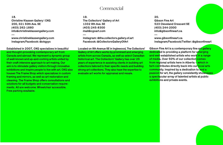# Commercial

18. Christine Klassen Gallery | CKG 200, 321 50th Ave. SE (403) 262-1880 info@christineklassengallery.com

www.christineklassengallery.com Instagram/Facebook: @ckgyyc

—

#### Established in 2007, CKG specializes in beautiful

and thought-provoking contemporary art from Canada and abroad. We represent a dynamic group of well-known and up-and-coming artists united by their craft-intensive approach to art making. Our aim is to stimulate gallery visitors through innovative exhibitions and inspire people to live with art. CKG also houses The Frame Shop which specializes in custom framing and mirrors, as well as art restoration and cleaning. The Frame Shop offers consultations and solutions for all budgets and conservation requirements. All are welcome. Wheelchair accessible. Free parking available.

19. The Collectors' Gallery of Art 1332 9th Ave. SE (403) 245-8300 mail@cgoart.com

—

Instagram: @the.collectors.gallery.of.art Facebook: @CollectorsGalleryOfArt

Located on 9th Avenue SE in Inglewood, The Collectors' Gallery of Art offers works by prominent and emerging artists from across Canada, as well as select Canadian historical art. The Collectors' Gallery has over 25 years of experience in assisting clients in building art collections tailored to their specific needs and building strong art collections. They also have the expertise to evaluate art works for appraisal and resale.

20. Gibson Fine Art 523 Cleveland Crescent SE (403) 244-2000 info@gibsonfineart.ca

—

www.gibsonfineart.ca Instagram/Facebook/Twitter: @gibsonfineart

Gibson Fine Art is a contemporary fine art gallery dedicated to providing a platform for emerging and well-established artists who work in a range of media. Over 50% of our collection comes from regional artists here in Alberta – which in turn contributes directly back into our local arts community. Inspired by a dedication to and a passion for art, the gallery consistently showcases a spectacular array of talented artists at public exhibitions and private events.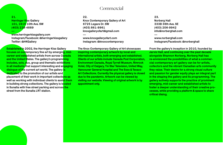21. **Herringer Kiss Gallery** 101, 1615 10th Ave. SW (403) 228-4889

—

www.herringerkissgallery.com Instagram/Facebook: @herringerkissgallery Twitter: @HKGallery

Established in 2002, the Herringer Kiss Gallery focuses on contemporary fine art by emerging, midcareer and established artists from across Canada and the United States. The gallery's programming includes, solo, duo, group and thematic exhibitions in all mediums that support interesting and engaging dialogue of the current art world. The gallery is dedicated to the promotion of our artists and placement of their work in important collections as well as working with individual clients to assist them in building strong collections. The gallery is located in Sunalta with free street parking and across the street from the Sunalta LRT station.

# Commercial

22. Knox Contemporary Gallery of Art 6725 Legare Dr. SW (403) 861-9961 knoxgalleryofart@gmail.com

www.knoxgalleryofart.com Instagram: @knoxcontemporary

—

The Knox Contemporary Gallery of Art showcases

inspiring contemporary artwork by local and international artists, both emerging and established. Clients of our artists include Canada Post Corporation, Environment Canada, Royal Tyrrell Museum, Rimrock Hotel, City of Calgary, Tin Star Television, United Way, Vancouver General Hospital and The Esso & Texaco Art Collections. Currently the physical gallery is closed due to the pandemic. Artwork can be viewed by visiting our website. Viewing of original artwork is by appointment only.

23. Norberg Hall 333B 36th Ave. SE (403) 206-9942 info@norberghall.com

—

www.norberghall.com Instagram/Facebook: @norberghall

#### From the gallery's inception in 2010, founded by

Jarvis Hall, and continuing over the past decade alongside Shannon Norberg, Norberg Hall has re-envisioned the possibilities of what a commercial contemporary art gallery can be for artists, collectors and the vibrant Canadian arts community they value. Their desire for a strong visual culture and passion for gender equity plays an integral part in the shaping the gallery and its programming. The gallery actively supports the practice of prominent emerging, mid-career and established artists to foster a deeper understanding of their creative processes, while providing a platform & space to share critical dialog.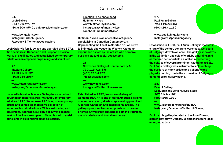# Commercial

24. Loch Gallery 314 12th Ave. SW (403) 209-8542 / calgary@lochgallery.com

www.lochgallery.com Instagram: @loch\_gallery Facebook & Twitter: @LochGallery

Loch Gallery is family owned and operated since 1972. We specialize in Canadian and European historical works of significance and established contemporary artists with an emphasis on paintings and sculptures.

25. Masters Gallery 2115 4th St. SW (403) 245-2064

—

—

www.mastersgalleryltd.com Instagram/Facebook: @mastersyyc

Located in Mission, Masters Gallery has specialized in Canadian Historical, Post-War and Contemporary art since 1976. We represent 20 living contemporary artists and exhibit an impressive collection of important historical artwork. With a welcoming and educational approach, our goal has always been to seek out the finest examples of Canadian art to assist our clients in building first class collections.

Location to be announced Huffman-Nyikes www.huffman-nyikes.com Instagram: @huffman\_nyikes Facebook: @HuffmanNyikes

Huffman-Nyikes is an alternative art gallery specializing in Canadian Contemporary. Representing the finest in Albertan art, we strive to intimately showcase the Western Canadian experience as told by the artists who perceive our physical and social ecosystems.

26. Newzones Gallery of Contemporary Art 730 11th Ave. SW (403) 266-1972 info@newzones.com

www.newzones.com Instagram/Twitter: @newzones

—

Established in 1992, Newzones Gallery of Contemporary Art is one of North America's leading contemporary art galleries representing prominent Albertan, Canadian and international artists. The gallery's program has an emphasis on processoriented artwork that challenges both the traditional use of materials and formal aesthetics.

27. Paul Kuhn Gallery 724 11th Ave. SW (403) 263-1162

—

www.paulkuhngallery.com Instagram: @paulkuhngallery

Established in 1983, Paul Kuhn Gallery is located in a turn of the century concrete warehouse just south of Calgary's downtown core. The gallery specializes in the exhibition and sale of work by emerging, midcareer and senior artists as well as representing the estates of several prominent Canadian artists. Paul Kuhn Gallery was instrumental in launching the careers of many artists and gallerists and played a leading role in the expansion of Calgary's contemporary gallery scene.

28.

**Peanut Gallery** Located in the John Fluevog Store 207 8th Ave. SW (403) 265-1970 —

www.fluevog.com/stores/calgary Instagram/Facebook/Twitter: @Fluevog

**Explore** this gallery located at the John Fluevog store in downtown Calgary. Exhibitions feature local emerging artists.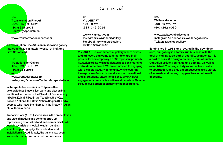29. Transformation Fine Art 202, 815 1st St. SW (403) 615-2038 Hours: By Appointment

—

—

www.transformationfineart.com

**Transformation Fine Art is an Inuit owned gallery** that specializes in master works of Inuit and First Nations art.

30. TrépanierBaer Gallery 105, 999 8th St. SW (403) 244-2066

www.trepanierbaer.com Instagram/Facebook/Twitter: @trepanierbaer

In the spirit of reconciliation, TrépanierBaer acknowledges that we live, work and play on th<mark>e</mark> traditional territories of the Blackfoot Confederacy (Siksika, Kainai, Piikani), the Tsuut'ina, the Îyâxe Nakoda Nations, the Métis Nation (Region 3), and all peoples who make their homes in the Treaty 7 region of Southern Alberta.

TrépanierBaer (1991) specializes in the presentation and sale of modern and contemporary art representing established and mid-career artist<mark>s who</mark> work in a variety of media including painting. sculpture, photography, film and video, and installation art. Additionally, the gallery has bee<mark>n</mark> involved in numerous public art commissions.

# Commercial

31. VIVIANEART 1018 9 Ave SE (587) 349-2014

—

www.vivianeart.com Instagram: @vivianeartgallery Facebook: @vivianeart.gallery Twitter: @VivianeArt

VIVIANEART is a commercial gallery where artists and art lovers can come together to share their passion for contemporary art. We represent primarily Canadian artists with a dedicated focus on emerging and mid-career talent. We are committed to engaging with the local Calgary community, while fostering the exposure of our artists and vision on the national and international stage. To this end, VIVIANEART engages art communities within and outside of Canada through our participation at international art fairs.

32. Wallace Galleries 500 5th Ave. SW (403) 262-8050 —

www.wallacegalleries.com Instagram & Facebook: @wallacegalleries Twitter: @wallacegallery

#### Established in 1986 and located in the downtown

core, our gallery is a family-run business with the goal of making art a part of your life, as much as it is a part of ours. We carry a diverse group of quality Canadian artists; young, up and coming, as well as established. The range of styles varies from realism to abstraction, and thus encompasses a large variety of interests and tastes, to appeal to a wide breadth of people.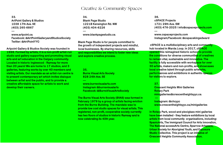## Creative & Community Spaces

33. ArtPoint Gallery & Studios 1038 17th Ave. SE (403) 265-6867

—

www.artpoint.ca Facebook: @ArtPointGalleryandStudiosSociety Twitter: @ArtPointYYC

#### Artpoint Gallery & Studios Society was founded in

1998. Formed by artists, it is a non-profit artist-run studio and gallery supporting and promoting visual arts and art education in the Calgary community. Located in historic Inglewood - Ramsay for more than 20 years! We are home to 17 studios, and 3 galleries, featuring works by over 40 members and visiting artists. Our mandate as an artist-run centre is to present contemporary art which invites dialogue between artist and the public, and to provide a creative affordable space for artists to work and develop their careers.

34. Blank Page Studio 1221B Kensington Rd. NW (403) 404-6226 —

www.blankpagestudio.ca

Blank Page Studio is for people committed to the growth of independent projects and mindful, local businesses. By sharing resources, skills and responsibilities we intend to foster new ideas and explore creative process.

35. Burns Visual Arts Society 828 24th Ave. SE

—

www.burnsvisualarts.com Instagram @burnsvisualarts Facebook: @BurnsVisualArtsSociety

The Burns Visual Arts Society (BVAS) was formed in February 1979 by a group of artists facing eviction from the Burns Building. The mandate was to provide low cost studio spaces for visual artists. This registered, non-profit, cooperative society currently has two floors of studios in historic Ramsay and is now celebrating its 40th year.

36. cSPACE Projects 1721 29th Ave. SW (403) 476-2025 | info@cspaceprojects.com

www.cspaceprojects.com Instagram/Facebook: @cspacekingedward

cSPACE is a multidisciplinary arts and community hub located in Marda Loop. In 2017, cSPACE opened this reimagined historic school to provide the conditions for diverse communities of creatives to remain vital, sustainable and innovative. The facility is fully accessible with workspace for over 30 artists, makers and non-profits, and showcases local creative talent through public artworks, performances and exhibitions in authentic spaces for visitors to explore.

37.

—

—

Crescent Heights Mini Galleries Rotary Park minigalleries@crescentheightsyyc.ca

Instagram: @chcyyc www.crescentheightsyyc.ca/minigalleries

In Rotary Park, wood and plexiglass mini galleries have been installed - they feature exhibitions by local artists from local community organisations, including: SpanicArts, The Immigrant Council for Arts Innovation, The National accessArts Centre, Sparrow Artspace, Urban Society for Aboriginal Youth, and Exposure **Studio C**ollective. This project is an initiative of **Crescent Heights Community Association.**